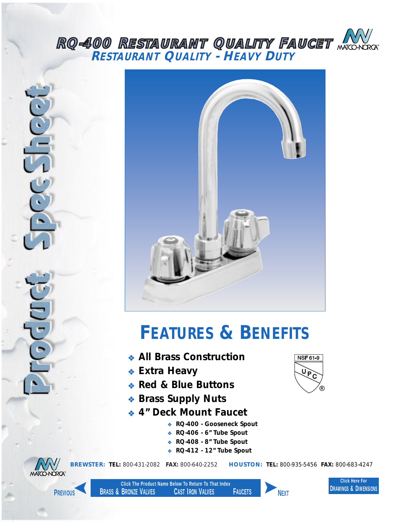## <span id="page-0-0"></span>*RQ-400 RESTAURANT QUALITY FAUCET RESTAURANT QUALITY - HEAVY DUTY*





## *FEATURES & BENEFITS*

- ❖ *All Brass Construction*
- ❖ *Extra Heavy*
- ❖ *Red & Blue Buttons*
- ❖ *Brass Supply Nuts*
- ❖ *4" Deck Mount Faucet*
	- ❖ *RQ-400 Gooseneck Spout*
	- ❖ *RQ-406 6" Tube Spout*
	- ❖ *RQ-408 8" Tube Spout*
	- ❖ *RQ-412 12" Tube Spout*





*BREWSTER: TEL: 800-431-2082 FAX: 800-640-2252 HOUSTON: TEL: 800-935-5456 FAX: 800-683-4247*

**Click Here For DRAWINGS & DIMENSIONS**



**Click The Product Name Below To Return To That Index BRASS & BRONZE VALVES CAST IRON VALVES FAUCETS PREVIOUS NEXT**